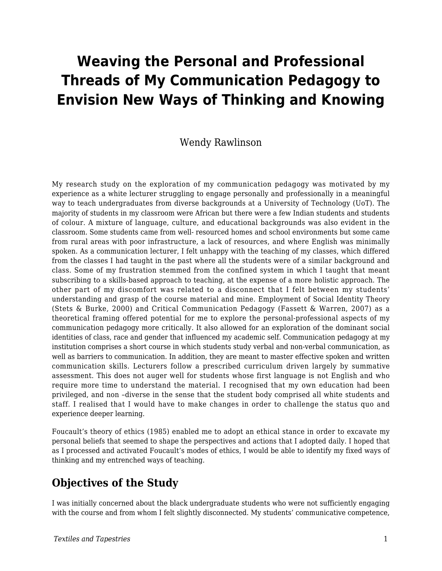# **Weaving the Personal and Professional Threads of My Communication Pedagogy to Envision New Ways of Thinking and Knowing**

#### Wendy Rawlinson

My research study on the exploration of my communication pedagogy was motivated by my experience as a white lecturer struggling to engage personally and professionally in a meaningful way to teach undergraduates from diverse backgrounds at a University of Technology (UoT). The majority of students in my classroom were African but there were a few Indian students and students of colour. A mixture of language, culture, and educational backgrounds was also evident in the classroom. Some students came from well- resourced homes and school environments but some came from rural areas with poor infrastructure, a lack of resources, and where English was minimally spoken. As a communication lecturer, I felt unhappy with the teaching of my classes, which differed from the classes I had taught in the past where all the students were of a similar background and class. Some of my frustration stemmed from the confined system in which I taught that meant subscribing to a skills-based approach to teaching, at the expense of a more holistic approach. The other part of my discomfort was related to a disconnect that I felt between my students' understanding and grasp of the course material and mine. Employment of Social Identity Theory (Stets & Burke, 2000) and Critical Communication Pedagogy (Fassett & Warren, 2007) as a theoretical framing offered potential for me to explore the personal-professional aspects of my communication pedagogy more critically. It also allowed for an exploration of the dominant social identities of class, race and gender that influenced my academic self. Communication pedagogy at my institution comprises a short course in which students study verbal and non-verbal communication, as well as barriers to communication. In addition, they are meant to master effective spoken and written communication skills. Lecturers follow a prescribed curriculum driven largely by summative assessment. This does not auger well for students whose first language is not English and who require more time to understand the material. I recognised that my own education had been privileged, and non –diverse in the sense that the student body comprised all white students and staff. I realised that I would have to make changes in order to challenge the status quo and experience deeper learning.

Foucault's theory of ethics (1985) enabled me to adopt an ethical stance in order to excavate my personal beliefs that seemed to shape the perspectives and actions that I adopted daily. I hoped that as I processed and activated Foucault's modes of ethics, I would be able to identify my fixed ways of thinking and my entrenched ways of teaching.

## **Objectives of the Study**

I was initially concerned about the black undergraduate students who were not sufficiently engaging with the course and from whom I felt slightly disconnected. My students' communicative competence,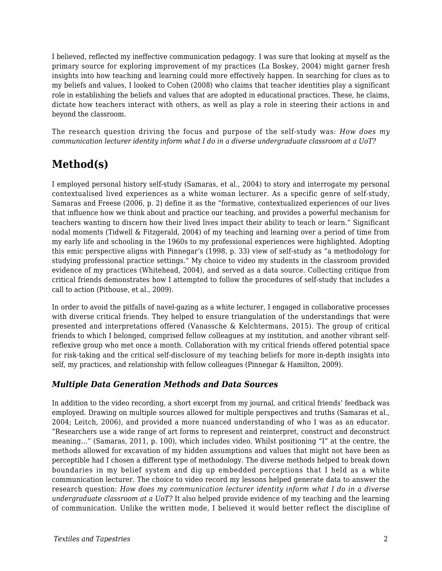I believed, reflected my ineffective communication pedagogy. I was sure that looking at myself as the primary source for exploring improvement of my practices (La Boskey, 2004) might garner fresh insights into how teaching and learning could more effectively happen. In searching for clues as to my beliefs and values, I looked to Cohen (2008) who claims that teacher identities play a significant role in establishing the beliefs and values that are adopted in educational practices. These, he claims, dictate how teachers interact with others, as well as play a role in steering their actions in and beyond the classroom.

The research question driving the focus and purpose of the self-study was: *How does my communication lecturer identity inform what I do in a diverse undergraduate classroom at a UoT?*

# **Method(s)**

I employed personal history self-study (Samaras, et al., 2004) to story and interrogate my personal contextualised lived experiences as a white woman lecturer. As a specific genre of self-study, Samaras and Freese (2006, p. 2) define it as the "formative, contextualized experiences of our lives that influence how we think about and practice our teaching, and provides a powerful mechanism for teachers wanting to discern how their lived lives impact their ability to teach or learn." Significant nodal moments (Tidwell & Fitzgerald, 2004) of my teaching and learning over a period of time from my early life and schooling in the 1960s to my professional experiences were highlighted. Adopting this emic perspective aligns with Pinnegar's (1998, p. 33) view of self-study as "a methodology for studying professional practice settings." My choice to video my students in the classroom provided evidence of my practices (Whitehead, 2004), and served as a data source. Collecting critique from critical friends demonstrates how I attempted to follow the procedures of self-study that includes a call to action (Pithouse, et al., 2009).

In order to avoid the pitfalls of navel-gazing as a white lecturer, I engaged in collaborative processes with diverse critical friends. They helped to ensure triangulation of the understandings that were presented and interpretations offered (Vanassche & Kelchtermans, 2015). The group of critical friends to which I belonged, comprised fellow colleagues at my institution, and another vibrant selfreflexive group who met once a month. Collaboration with my critical friends offered potential space for risk-taking and the critical self-disclosure of my teaching beliefs for more in-depth insights into self, my practices, and relationship with fellow colleagues (Pinnegar & Hamilton, 2009).

#### *Multiple Data Generation Methods and Data Sources*

In addition to the video recording, a short excerpt from my journal, and critical friends' feedback was employed. Drawing on multiple sources allowed for multiple perspectives and truths (Samaras et al., 2004; Leitch, 2006), and provided a more nuanced understanding of who I was as an educator. "Researchers use a wide range of art forms to represent and reinterpret, construct and deconstruct meaning…" (Samaras, 2011, p. 100), which includes video. Whilst positioning "I" at the centre, the methods allowed for excavation of my hidden assumptions and values that might not have been as perceptible had I chosen a different type of methodology. The diverse methods helped to break down boundaries in my belief system and dig up embedded perceptions that I held as a white communication lecturer. The choice to video record my lessons helped generate data to answer the research question: *How does my communication lecturer identity inform what I do in a diverse undergraduate classroom at a UoT?* It also helped provide evidence of my teaching and the learning of communication. Unlike the written mode, I believed it would better reflect the discipline of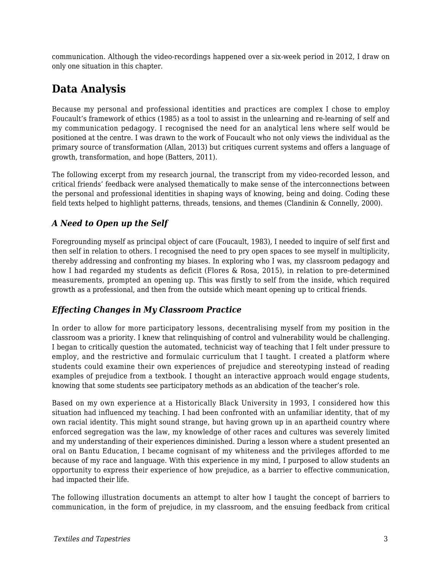communication. Although the video-recordings happened over a six-week period in 2012, I draw on only one situation in this chapter.

# **Data Analysis**

Because my personal and professional identities and practices are complex I chose to employ Foucault's framework of ethics (1985) as a tool to assist in the unlearning and re-learning of self and my communication pedagogy. I recognised the need for an analytical lens where self would be positioned at the centre. I was drawn to the work of Foucault who not only views the individual as the primary source of transformation (Allan, 2013) but critiques current systems and offers a language of growth, transformation, and hope (Batters, 2011).

The following excerpt from my research journal, the transcript from my video-recorded lesson, and critical friends' feedback were analysed thematically to make sense of the interconnections between the personal and professional identities in shaping ways of knowing, being and doing. Coding these field texts helped to highlight patterns, threads, tensions, and themes (Clandinin & Connelly, 2000).

#### *A Need to Open up the Self*

Foregrounding myself as principal object of care (Foucault, 1983), I needed to inquire of self first and then self in relation to others. I recognised the need to pry open spaces to see myself in multiplicity, thereby addressing and confronting my biases. In exploring who I was, my classroom pedagogy and how I had regarded my students as deficit (Flores & Rosa, 2015), in relation to pre-determined measurements, prompted an opening up. This was firstly to self from the inside, which required growth as a professional, and then from the outside which meant opening up to critical friends.

#### *Effecting Changes in My Classroom Practice*

In order to allow for more participatory lessons, decentralising myself from my position in the classroom was a priority. I knew that relinquishing of control and vulnerability would be challenging. I began to critically question the automated, technicist way of teaching that I felt under pressure to employ, and the restrictive and formulaic curriculum that I taught. I created a platform where students could examine their own experiences of prejudice and stereotyping instead of reading examples of prejudice from a textbook. I thought an interactive approach would engage students, knowing that some students see participatory methods as an abdication of the teacher's role.

Based on my own experience at a Historically Black University in 1993, I considered how this situation had influenced my teaching. I had been confronted with an unfamiliar identity, that of my own racial identity. This might sound strange, but having grown up in an apartheid country where enforced segregation was the law, my knowledge of other races and cultures was severely limited and my understanding of their experiences diminished. During a lesson where a student presented an oral on Bantu Education, I became cognisant of my whiteness and the privileges afforded to me because of my race and language. With this experience in my mind, I purposed to allow students an opportunity to express their experience of how prejudice, as a barrier to effective communication, had impacted their life.

The following illustration documents an attempt to alter how I taught the concept of barriers to communication, in the form of prejudice, in my classroom, and the ensuing feedback from critical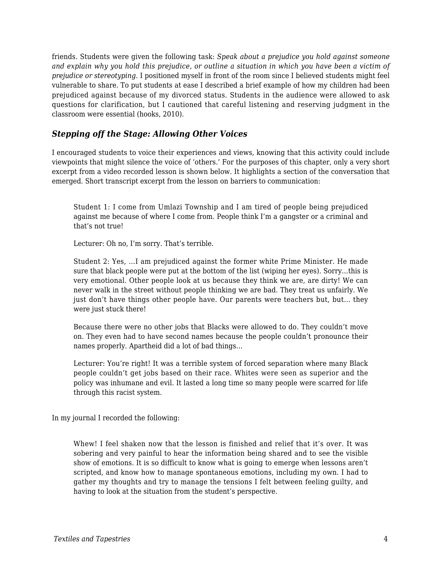friends. Students were given the following task: *Speak about a prejudice you hold against someone and explain why you hold this prejudice, or outline a situation in which you have been a victim of prejudice or stereotyping.* I positioned myself in front of the room since I believed students might feel vulnerable to share. To put students at ease I described a brief example of how my children had been prejudiced against because of my divorced status. Students in the audience were allowed to ask questions for clarification, but I cautioned that careful listening and reserving judgment in the classroom were essential (hooks, 2010).

#### *Stepping off the Stage: Allowing Other Voices*

I encouraged students to voice their experiences and views, knowing that this activity could include viewpoints that might silence the voice of 'others.' For the purposes of this chapter, only a very short excerpt from a video recorded lesson is shown below. It highlights a section of the conversation that emerged. Short transcript excerpt from the lesson on barriers to communication:

Student 1: I come from Umlazi Township and I am tired of people being prejudiced against me because of where I come from. People think I'm a gangster or a criminal and that's not true!

Lecturer: Oh no, I'm sorry. That's terrible.

Student 2: Yes, …I am prejudiced against the former white Prime Minister. He made sure that black people were put at the bottom of the list (wiping her eyes). Sorry…this is very emotional. Other people look at us because they think we are, are dirty! We can never walk in the street without people thinking we are bad. They treat us unfairly. We just don't have things other people have. Our parents were teachers but, but… they were just stuck there!

Because there were no other jobs that Blacks were allowed to do. They couldn't move on. They even had to have second names because the people couldn't pronounce their names properly. Apartheid did a lot of bad things…

Lecturer: You're right! It was a terrible system of forced separation where many Black people couldn't get jobs based on their race. Whites were seen as superior and the policy was inhumane and evil. It lasted a long time so many people were scarred for life through this racist system.

In my journal I recorded the following:

Whew! I feel shaken now that the lesson is finished and relief that it's over. It was sobering and very painful to hear the information being shared and to see the visible show of emotions. It is so difficult to know what is going to emerge when lessons aren't scripted, and know how to manage spontaneous emotions, including my own. I had to gather my thoughts and try to manage the tensions I felt between feeling guilty, and having to look at the situation from the student's perspective.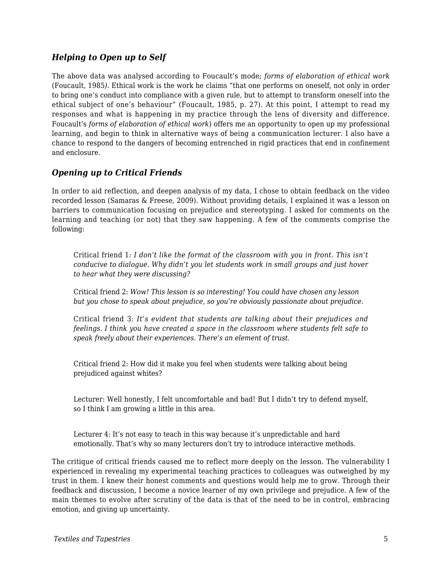#### *Helping to Open up to Self*

The above data was analysed according to Foucault's mode; *forms of elaboration of ethical work* (Foucault, 1985*)*. Ethical work is the work he claims "that one performs on oneself, not only in order to bring one's conduct into compliance with a given rule, but to attempt to transform oneself into the ethical subject of one's behaviour" (Foucault, 1985, p. 27). At this point, I attempt to read my responses and what is happening in my practice through the lens of diversity and difference. Foucault's *forms of elaboration of ethical work*) offers me an opportunity to open up my professional learning, and begin to think in alternative ways of being a communication lecturer. I also have a chance to respond to the dangers of becoming entrenched in rigid practices that end in confinement and enclosure.

#### *Opening up to Critical Friends*

In order to aid reflection, and deepen analysis of my data, I chose to obtain feedback on the video recorded lesson (Samaras & Freese, 2009). Without providing details, I explained it was a lesson on barriers to communication focusing on prejudice and stereotyping. I asked for comments on the learning and teaching (or not) that they saw happening. A few of the comments comprise the following:

Critical friend 1*: I don't like the format of the classroom with you in front. This isn't conducive to dialogue. Why didn't you let students work in small groups and just hover to hear what they were discussing?*

Critical friend 2: *Wow! This lesson is so interesting! You could have chosen any lesson but you chose to speak about prejudice, so you're obviously passionate about prejudice.*

Critical friend 3*: It's evident that students are talking about their prejudices and feelings. I think you have created a space in the classroom where students felt safe to speak freely about their experiences. There's an element of trust.*

Critical friend 2: How did it make you feel when students were talking about being prejudiced against whites?

Lecturer: Well honestly, I felt uncomfortable and bad! But I didn't try to defend myself, so I think I am growing a little in this area.

Lecturer 4: It's not easy to teach in this way because it's unpredictable and hard emotionally. That's why so many lecturers don't try to introduce interactive methods.

The critique of critical friends caused me to reflect more deeply on the lesson. The vulnerability I experienced in revealing my experimental teaching practices to colleagues was outweighed by my trust in them. I knew their honest comments and questions would help me to grow. Through their feedback and discussion, I become a novice learner of my own privilege and prejudice. A few of the main themes to evolve after scrutiny of the data is that of the need to be in control, embracing emotion, and giving up uncertainty.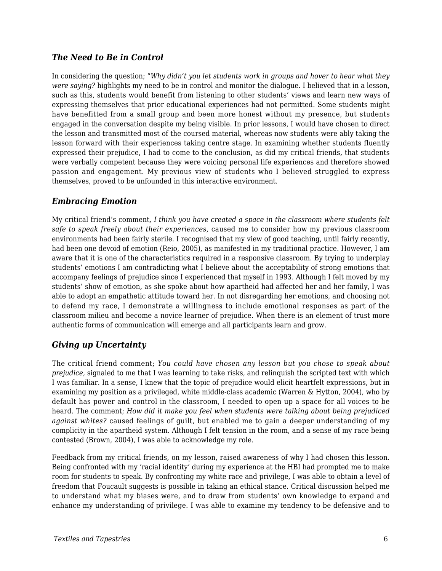#### *The Need to Be in Control*

In considering the question; "*Why didn't you let students work in groups and hover to hear what they were saying?* highlights my need to be in control and monitor the dialogue. I believed that in a lesson, such as this, students would benefit from listening to other students' views and learn new ways of expressing themselves that prior educational experiences had not permitted. Some students might have benefitted from a small group and been more honest without my presence, but students engaged in the conversation despite my being visible. In prior lessons, I would have chosen to direct the lesson and transmitted most of the coursed material, whereas now students were ably taking the lesson forward with their experiences taking centre stage. In examining whether students fluently expressed their prejudice, I had to come to the conclusion, as did my critical friends, that students were verbally competent because they were voicing personal life experiences and therefore showed passion and engagement. My previous view of students who I believed struggled to express themselves, proved to be unfounded in this interactive environment.

#### *Embracing Emotion*

My critical friend's comment*, I think you have created a space in the classroom where students felt safe to speak freely about their experiences,* caused me to consider how my previous classroom environments had been fairly sterile*.* I recognised that my view of good teaching, until fairly recently, had been one devoid of emotion (Reio, 2005), as manifested in my traditional practice. However, I am aware that it is one of the characteristics required in a responsive classroom. By trying to underplay students' emotions I am contradicting what I believe about the acceptability of strong emotions that accompany feelings of prejudice since I experienced that myself in 1993. Although I felt moved by my students' show of emotion, as she spoke about how apartheid had affected her and her family, I was able to adopt an empathetic attitude toward her. In not disregarding her emotions, and choosing not to defend my race, I demonstrate a willingness to include emotional responses as part of the classroom milieu and become a novice learner of prejudice. When there is an element of trust more authentic forms of communication will emerge and all participants learn and grow.

#### *Giving up Uncertainty*

The critical friend comment; *You could have chosen any lesson but you chose to speak about prejudice,* signaled to me that I was learning to take risks, and relinquish the scripted text with which I was familiar. In a sense, I knew that the topic of prejudice would elicit heartfelt expressions, but in examining my position as a privileged, white middle-class academic (Warren & Hytton, 2004), who by default has power and control in the classroom, I needed to open up a space for all voices to be heard. The comment; *How did it make you feel when students were talking about being prejudiced against whites?* caused feelings of guilt, but enabled me to gain a deeper understanding of my complicity in the apartheid system. Although I felt tension in the room, and a sense of my race being contested (Brown, 2004), I was able to acknowledge my role.

Feedback from my critical friends, on my lesson, raised awareness of why I had chosen this lesson. Being confronted with my 'racial identity' during my experience at the HBI had prompted me to make room for students to speak. By confronting my white race and privilege, I was able to obtain a level of freedom that Foucault suggests is possible in taking an ethical stance. Critical discussion helped me to understand what my biases were, and to draw from students' own knowledge to expand and enhance my understanding of privilege. I was able to examine my tendency to be defensive and to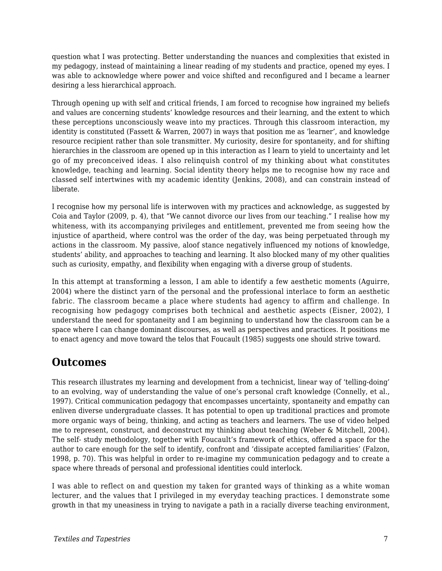question what I was protecting. Better understanding the nuances and complexities that existed in my pedagogy, instead of maintaining a linear reading of my students and practice, opened my eyes. I was able to acknowledge where power and voice shifted and reconfigured and I became a learner desiring a less hierarchical approach.

Through opening up with self and critical friends, I am forced to recognise how ingrained my beliefs and values are concerning students' knowledge resources and their learning, and the extent to which these perceptions unconsciously weave into my practices. Through this classroom interaction, my identity is constituted (Fassett & Warren, 2007) in ways that position me as 'learner', and knowledge resource recipient rather than sole transmitter. My curiosity, desire for spontaneity, and for shifting hierarchies in the classroom are opened up in this interaction as I learn to yield to uncertainty and let go of my preconceived ideas. I also relinquish control of my thinking about what constitutes knowledge, teaching and learning. Social identity theory helps me to recognise how my race and classed self intertwines with my academic identity (Jenkins, 2008), and can constrain instead of liberate.

I recognise how my personal life is interwoven with my practices and acknowledge, as suggested by Coia and Taylor (2009, p. 4), that "We cannot divorce our lives from our teaching." I realise how my whiteness, with its accompanying privileges and entitlement, prevented me from seeing how the injustice of apartheid, where control was the order of the day, was being perpetuated through my actions in the classroom. My passive, aloof stance negatively influenced my notions of knowledge, students' ability, and approaches to teaching and learning. It also blocked many of my other qualities such as curiosity, empathy, and flexibility when engaging with a diverse group of students.

In this attempt at transforming a lesson, I am able to identify a few aesthetic moments (Aguirre, 2004) where the distinct yarn of the personal and the professional interlace to form an aesthetic fabric. The classroom became a place where students had agency to affirm and challenge. In recognising how pedagogy comprises both technical and aesthetic aspects (Eisner, 2002), I understand the need for spontaneity and I am beginning to understand how the classroom can be a space where I can change dominant discourses, as well as perspectives and practices. It positions me to enact agency and move toward the telos that Foucault (1985) suggests one should strive toward.

### **Outcomes**

This research illustrates my learning and development from a technicist, linear way of 'telling-doing' to an evolving, way of understanding the value of one's personal craft knowledge (Connelly, et al., 1997). Critical communication pedagogy that encompasses uncertainty, spontaneity and empathy can enliven diverse undergraduate classes. It has potential to open up traditional practices and promote more organic ways of being, thinking, and acting as teachers and learners. The use of video helped me to represent, construct, and deconstruct my thinking about teaching (Weber & Mitchell, 2004). The self- study methodology, together with Foucault's framework of ethics, offered a space for the author to care enough for the self to identify, confront and 'dissipate accepted familiarities' (Falzon, 1998, p. 70). This was helpful in order to re-imagine my communication pedagogy and to create a space where threads of personal and professional identities could interlock.

I was able to reflect on and question my taken for granted ways of thinking as a white woman lecturer, and the values that I privileged in my everyday teaching practices. I demonstrate some growth in that my uneasiness in trying to navigate a path in a racially diverse teaching environment,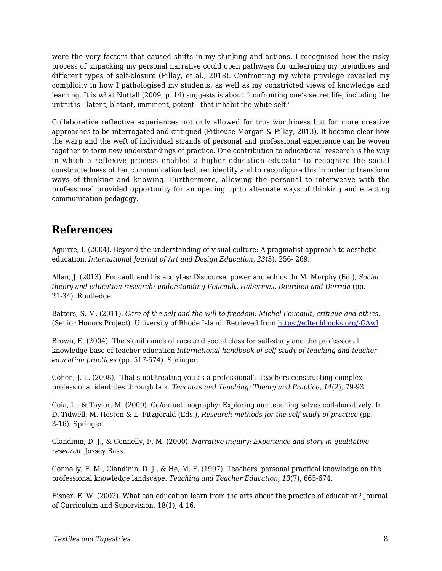were the very factors that caused shifts in my thinking and actions. I recognised how the risky process of unpacking my personal narrative could open pathways for unlearning my prejudices and different types of self-closure (Pillay, et al., 2018). Confronting my white privilege revealed my complicity in how I pathologised my students, as well as my constricted views of knowledge and learning. It is what Nuttall (2009, p. 14) suggests is about "confronting one's secret life, including the untruths - latent, blatant, imminent, potent - that inhabit the white self."

Collaborative reflective experiences not only allowed for trustworthiness but for more creative approaches to be interrogated and critiqued (Pithouse-Morgan & Pillay, 2013). It became clear how the warp and the weft of individual strands of personal and professional experience can be woven together to form new understandings of practice. One contribution to educational research is the way in which a reflexive process enabled a higher education educator to recognize the social constructedness of her communication lecturer identity and to reconfigure this in order to transform ways of thinking and knowing. Furthermore, allowing the personal to interweave with the professional provided opportunity for an opening up to alternate ways of thinking and enacting communication pedagogy.

### **References**

Aguirre, I. (2004). Beyond the understanding of visual culture: A pragmatist approach to aesthetic education. *International Journal of Art and Design Education, 23*(3), 256- 269.

Allan, J. (2013). Foucault and his acolytes: Discourse, power and ethics. In M. Murphy (Ed.), *Social theory and education research: understanding Foucault, Habermas, Bourdieu and Derrida* (pp. 21-34). Routledge.

Batters, S. M. (2011). *Care of the self and the will to freedom: Michel Foucault, critique and ethics.* (Senior Honors Project), University of Rhode Island. Retrieved from [https://edtechbooks.org/-GAwI](http://digitalcommons.uri.edu/cgi/viewcontent.cgi?article=241&context=srhonorsprog)

Brown, E. (2004). The significance of race and social class for self-study and the professional knowledge base of teacher education *International handbook of self-study of teaching and teacher education practices* (pp. 517-574). Springer.

Cohen, J. L. (2008). 'That's not treating you as a professional': Teachers constructing complex professional identities through talk. *Teachers and Teaching: Theory and Practice, 14*(2), 79-93.

Coia, L., & Taylor, M. (2009). Co/autoethnography: Exploring our teaching selves collaboratively. In D. Tidwell, M. Heston & L. Fitzgerald (Eds.), *Research methods for the self-study of practice* (pp. 3-16). Springer.

Clandinin, D. J., & Connelly, F. M. (2000). *Narrative inquiry: Experience and story in qualitative research*. Jossey Bass.

Connelly, F. M., Clandinin, D. J., & He, M. F. (1997). Teachers' personal practical knowledge on the professional knowledge landscape. *Teaching and Teacher Education, 13*(7), 665-674.

Eisner, E. W. (2002). What can education learn from the arts about the practice of education? Journal of Curriculum and Supervision, 18(1), 4-16.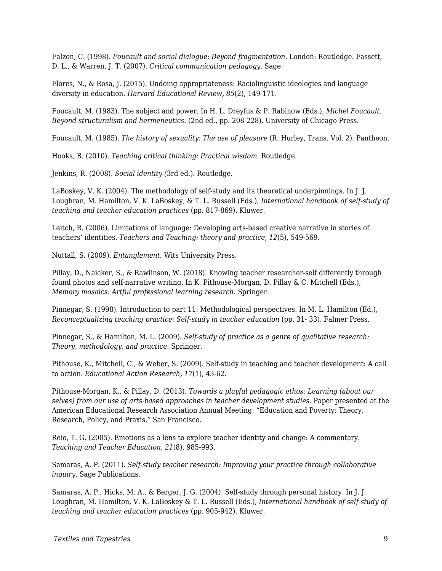Falzon, C. (1998). *Foucault and social dialogue: Beyond fragmentation*. London: Routledge. Fassett, D. L., & Warren, J. T. (2007). *Critical communication pedagogy*. Sage.

Flores, N., & Rosa, J. (2015). Undoing appropriateness: Raciolinguistic ideologies and language diversity in education. *Harvard Educational Review, 85*(2), 149-171.

Foucault, M. (1983). The subject and power. In H. L. Dreyfus & P. Rabinow (Eds.), *Michel Foucault. Beyond structuralism and hermeneutics.* (2nd ed., pp. 208-228). University of Chicago Press.

Foucault, M. (1985). *The history of sexuality: The use of pleasure* (R. Hurley, Trans. Vol. 2). Pantheon.

Hooks, B. (2010). *Teaching critical thinking: Practical wisdom*. Routledge.

Jenkins, R. (2008). *Social identity (*3rd ed.). Routledge.

LaBoskey, V. K. (2004). The methodology of self-study and its theoretical underpinnings. In J. J. Loughran, M. Hamilton, V. K. LaBoskey, & T. L. Russell (Eds.), *International handbook of self-study of teaching and teacher education practices* (pp. 817-869). Kluwer.

Leitch, R. (2006). Limitations of language: Developing arts-based creative narrative in stories of teachers' identities. *Teachers and Teaching: theory and practice*, *12*(5), 549-569.

Nuttall, S. (2009). *Entanglement.* Wits University Press.

Pillay, D., Naicker, S., & Rawlinson, W. (2018). Knowing teacher researcher-self differently through found photos and self-narrative writing. In K. Pithouse-Morgan, D. Pillay & C. Mitchell (Eds.), *Memory mosaics: Artful professional learning research*. Springer.

Pinnegar, S. (1998). Introduction to part 11: Methodological perspectives. In M. L. Hamilton (Ed.), *Reconceptualizing teaching practice: Self-study in teacher education* (pp. 31- 33). Falmer Press.

Pinnegar, S., & Hamilton, M. L. (2009). *Self-study of practice as a genre of qualitative research: Theory, methodology, and practice*. Springer.

Pithouse, K., Mitchell, C., & Weber, S. (2009). Self-study in teaching and teacher development: A call to action. *Educational Action Research, 17*(1), 43-62.

Pithouse-Morgan, K., & Pillay, D. (2013). *Towards a playful pedagogic ethos: Learning (about our selves) from our use of arts-based approaches in teacher development studies*. Paper presented at the American Educational Research Association Annual Meeting: "Education and Poverty: Theory, Research, Policy, and Praxis," San Francisco.

Reio, T. G. (2005). Emotions as a lens to explore teacher identity and change: A commentary. *Teaching and Teacher Education*, *21*(8), 985-993.

Samaras, A. P. (2011). *Self-study teacher research: Improving your practice through collaborative inquiry*. Sage Publications.

Samaras, A. P., Hicks, M. A., & Berger, J. G. (2004). Self-study through personal history. In J. J. Loughran, M. Hamilton, V. K. LaBoskey & T. L. Russell (Eds.), *International handbook of self-study of teaching and teacher education practices* (pp. 905-942). Kluwer.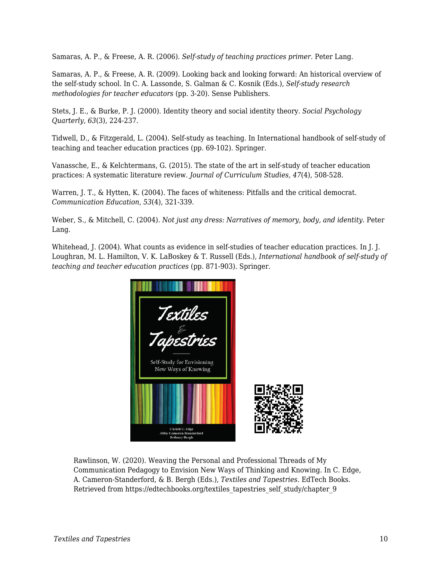Samaras, A. P., & Freese, A. R. (2006). *Self-study of teaching practices primer*. Peter Lang.

Samaras, A. P., & Freese, A. R. (2009). Looking back and looking forward: An historical overview of the self-study school. In C. A. Lassonde, S. Galman & C. Kosnik (Eds.), *Self-study research methodologies for teacher educators* (pp. 3-20). Sense Publishers.

Stets, J. E., & Burke, P. J. (2000). Identity theory and social identity theory. *Social Psychology Quarterly, 63*(3), 224-237.

Tidwell, D., & Fitzgerald, L. (2004). Self-study as teaching. In International handbook of self-study of teaching and teacher education practices (pp. 69-102). Springer.

Vanassche, E., & Kelchtermans, G. (2015). The state of the art in self-study of teacher education practices: A systematic literature review. *Journal of Curriculum Studies, 47*(4), 508-528.

Warren, J. T., & Hytten, K. (2004). The faces of whiteness: Pitfalls and the critical democrat. *Communication Education*, *53*(4), 321-339.

Weber, S., & Mitchell, C. (2004). *Not just any dress: Narratives of memory, body, and identity*. Peter Lang.

Whitehead, J. (2004). What counts as evidence in self-studies of teacher education practices. In J. J. Loughran, M. L. Hamilton, V. K. LaBoskey & T. Russell (Eds.), *International handbook of self-study of teaching and teacher education practices* (pp. 871-903). Springer.



Rawlinson, W. (2020). Weaving the Personal and Professional Threads of My Communication Pedagogy to Envision New Ways of Thinking and Knowing. In C. Edge, A. Cameron-Standerford, & B. Bergh (Eds.), *Textiles and Tapestries*. EdTech Books. Retrieved from https://edtechbooks.org/textiles\_tapestries\_self\_study/chapter\_9